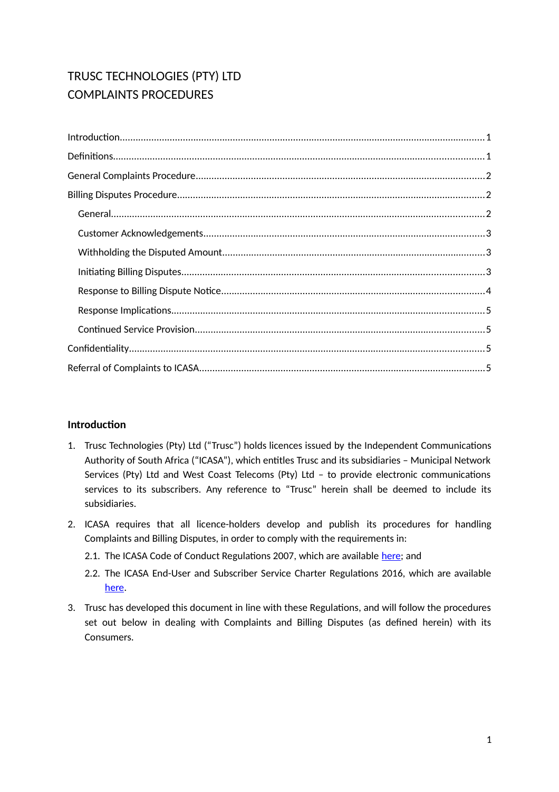# TRUSC TECHNOLOGIES (PTY) LTD COMPLAINTS PROCEDURES

| Introduction 11 |
|-----------------|
|                 |
|                 |
|                 |
|                 |
|                 |
|                 |
|                 |
|                 |
|                 |
|                 |
|                 |
|                 |

# <span id="page-0-0"></span>**Introduction**

- 1. Trusc Technologies (Pty) Ltd ("Trusc") holds licences issued by the Independent Communications Authority of South Africa ("ICASA"), which entitles Trusc and its subsidiaries – Municipal Network Services (Pty) Ltd and West Coast Telecoms (Pty) Ltd – to provide electronic communications services to its subscribers. Any reference to "Trusc" herein shall be deemed to include its subsidiaries.
- 2. ICASA requires that all licence-holders develop and publish its procedures for handling Complaints and Billing Disputes, in order to comply with the requirements in:
	- 2.1. The ICASA Code of Conduct Regulations 2007, which are available [here;](http://www.ellipsis.co.za/wp-content/uploads/2017/04/Code_of_Conduct_Regulations_2007.pdf) and
	- 2.2. The ICASA End-User and Subscriber Service Charter Regulations 2016, which are available [here.](http://www.ellipsis.co.za/wp-content/uploads/2015/10/EUSSC-Regulations-2016.pdf)
- 3. Trusc has developed this document in line with these Regulations, and will follow the procedures set out below in dealing with Complaints and Billing Disputes (as defined herein) with its Consumers.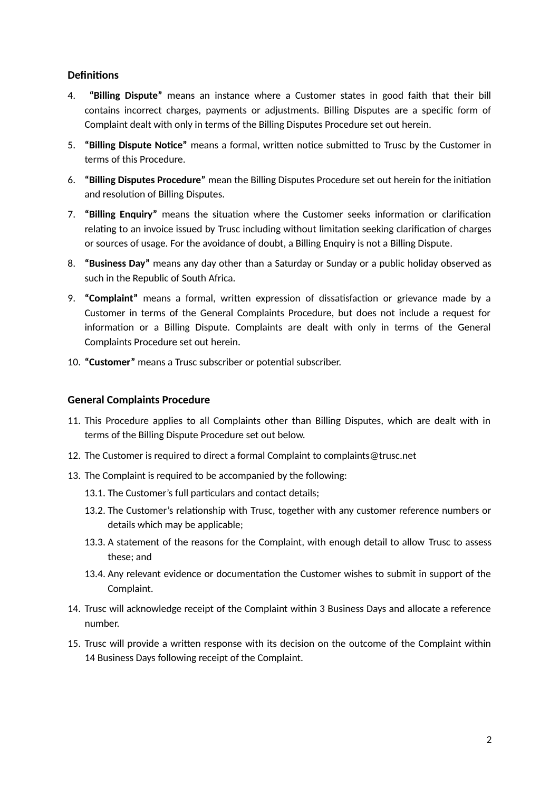## <span id="page-1-1"></span>**Definitions**

- 4. **"Billing Dispute"** means an instance where a Customer states in good faith that their bill contains incorrect charges, payments or adjustments. Billing Disputes are a specific form of Complaint dealt with only in terms of the Billing Disputes Procedure set out herein.
- 5. **"Billing Dispute Notice"** means a formal, written notice submitted to Trusc by the Customer in terms of this Procedure.
- 6. **"Billing Disputes Procedure"** mean the Billing Disputes Procedure set out herein for the initiation and resolution of Billing Disputes.
- 7. **"Billing Enquiry"** means the situation where the Customer seeks information or clarification relating to an invoice issued by Trusc including without limitation seeking clarification of charges or sources of usage. For the avoidance of doubt, a Billing Enquiry is not a Billing Dispute.
- 8. **"Business Day"** means any day other than a Saturday or Sunday or a public holiday observed as such in the Republic of South Africa.
- 9. **"Complaint"** means a formal, written expression of dissatisfaction or grievance made by a Customer in terms of the General Complaints Procedure, but does not include a request for information or a Billing Dispute. Complaints are dealt with only in terms of the General Complaints Procedure set out herein.
- 10. **"Customer"** means a Trusc subscriber or potential subscriber.

### <span id="page-1-0"></span>**General Complaints Procedure**

- 11. This Procedure applies to all Complaints other than Billing Disputes, which are dealt with in terms of the Billing Dispute Procedure set out below.
- 12. The Customer is required to direct a formal Complaint to complaints@trusc.net
- 13. The Complaint is required to be accompanied by the following:
	- 13.1. The Customer's full particulars and contact details;
	- 13.2. The Customer's relationship with Trusc, together with any customer reference numbers or details which may be applicable;
	- 13.3. A statement of the reasons for the Complaint, with enough detail to allow Trusc to assess these; and
	- 13.4. Any relevant evidence or documentation the Customer wishes to submit in support of the Complaint.
- 14. Trusc will acknowledge receipt of the Complaint within 3 Business Days and allocate a reference number.
- 15. Trusc will provide a written response with its decision on the outcome of the Complaint within 14 Business Days following receipt of the Complaint.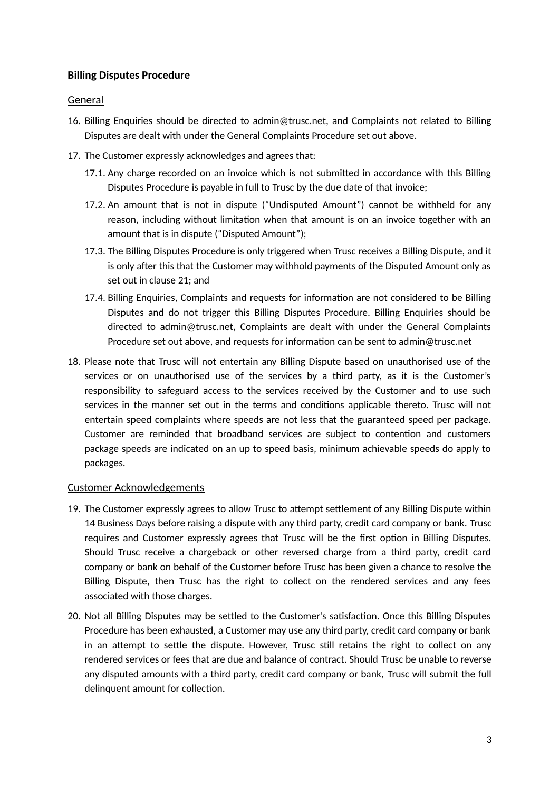## <span id="page-2-2"></span>**Billing Disputes Procedure**

#### <span id="page-2-1"></span>General

- 16. Billing Enquiries should be directed to admin@trusc.net, and Complaints not related to Billing Disputes are dealt with under the General Complaints Procedure set out above.
- 17. The Customer expressly acknowledges and agrees that:
	- 17.1. Any charge recorded on an invoice which is not submitted in accordance with this Billing Disputes Procedure is payable in full to Trusc by the due date of that invoice;
	- 17.2. An amount that is not in dispute ("Undisputed Amount") cannot be withheld for any reason, including without limitation when that amount is on an invoice together with an amount that is in dispute ("Disputed Amount");
	- 17.3. The Billing Disputes Procedure is only triggered when Trusc receives a Billing Dispute, and it is only after this that the Customer may withhold payments of the Disputed Amount only as set out in clause [21;](#page-3-3) and
	- 17.4. Billing Enquiries, Complaints and requests for information are not considered to be Billing Disputes and do not trigger this Billing Disputes Procedure. Billing Enquiries should be directed to admin@trusc.net, Complaints are dealt with under the General Complaints Procedure set out above, and requests for information can be sent to admin@trusc.net
- 18. Please note that Trusc will not entertain any Billing Dispute based on unauthorised use of the services or on unauthorised use of the services by a third party, as it is the Customer's responsibility to safeguard access to the services received by the Customer and to use such services in the manner set out in the terms and conditions applicable thereto. Trusc will not entertain speed complaints where speeds are not less that the guaranteed speed per package. Customer are reminded that broadband services are subject to contention and customers package speeds are indicated on an up to speed basis, minimum achievable speeds do apply to packages.

### <span id="page-2-0"></span>Customer Acknowledgements

- 19. The Customer expressly agrees to allow Trusc to attempt settlement of any Billing Dispute within 14 Business Days before raising a dispute with any third party, credit card company or bank. Trusc requires and Customer expressly agrees that Trusc will be the first option in Billing Disputes. Should Trusc receive a chargeback or other reversed charge from a third party, credit card company or bank on behalf of the Customer before Trusc has been given a chance to resolve the Billing Dispute, then Trusc has the right to collect on the rendered services and any fees associated with those charges.
- 20. Not all Billing Disputes may be settled to the Customer's satisfaction. Once this Billing Disputes Procedure has been exhausted, a Customer may use any third party, credit card company or bank in an attempt to settle the dispute. However, Trusc still retains the right to collect on any rendered services or fees that are due and balance of contract. Should Trusc be unable to reverse any disputed amounts with a third party, credit card company or bank, Trusc will submit the full delinquent amount for collection.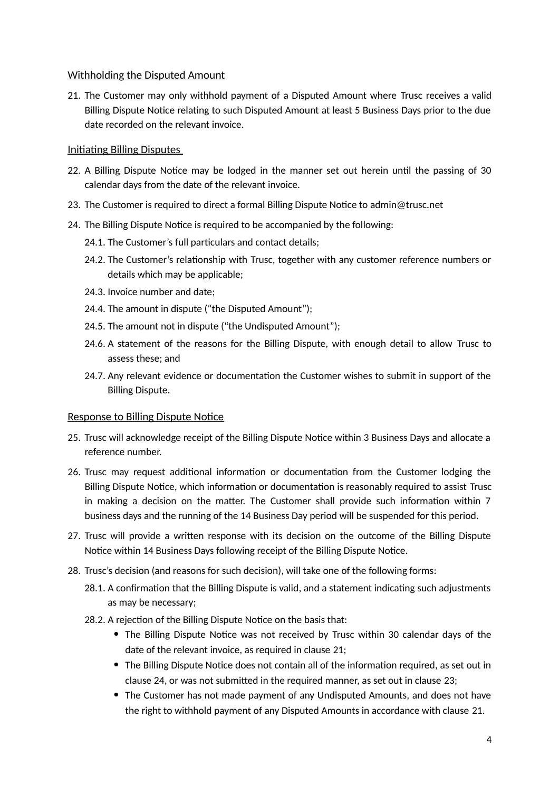### <span id="page-3-2"></span>Withholding the Disputed Amount

<span id="page-3-3"></span>21. The Customer may only withhold payment of a Disputed Amount where Trusc receives a valid Billing Dispute Notice relating to such Disputed Amount at least 5 Business Days prior to the due date recorded on the relevant invoice.

## <span id="page-3-1"></span>Initiating Billing Disputes

- 22. A Billing Dispute Notice may be lodged in the manner set out herein until the passing of 30 calendar days from the date of the relevant invoice.
- <span id="page-3-4"></span>23. The Customer is required to direct a formal Billing Dispute Notice to admin@trusc.net
- <span id="page-3-5"></span>24. The Billing Dispute Notice is required to be accompanied by the following:
	- 24.1. The Customer's full particulars and contact details;
	- 24.2. The Customer's relationship with Trusc, together with any customer reference numbers or details which may be applicable;
	- 24.3. Invoice number and date;
	- 24.4. The amount in dispute ("the Disputed Amount");
	- 24.5. The amount not in dispute ("the Undisputed Amount");
	- 24.6. A statement of the reasons for the Billing Dispute, with enough detail to allow Trusc to assess these; and
	- 24.7. Any relevant evidence or documentation the Customer wishes to submit in support of the Billing Dispute.

### <span id="page-3-0"></span>Response to Billing Dispute Notice

- 25. Trusc will acknowledge receipt of the Billing Dispute Notice within 3 Business Days and allocate a reference number.
- 26. Trusc may request additional information or documentation from the Customer lodging the Billing Dispute Notice, which information or documentation is reasonably required to assist Trusc in making a decision on the matter. The Customer shall provide such information within 7 business days and the running of the 14 Business Day period will be suspended for this period.
- 27. Trusc will provide a written response with its decision on the outcome of the Billing Dispute Notice within 14 Business Days following receipt of the Billing Dispute Notice.
- <span id="page-3-6"></span>28. Trusc's decision (and reasons for such decision), will take one of the following forms:
	- 28.1. A confirmation that the Billing Dispute is valid, and a statement indicating such adjustments as may be necessary;
	- 28.2. A rejection of the Billing Dispute Notice on the basis that:
		- The Billing Dispute Notice was not received by Trusc within 30 calendar days of the date of the relevant invoice, as required in clause [21;](#page-3-3)
		- The Billing Dispute Notice does not contain all of the information required, as set out in clause [24,](#page-3-5) or was not submitted in the required manner, as set out in clause [23;](#page-3-4)
		- The Customer has not made payment of any Undisputed Amounts, and does not have the right to withhold payment of any Disputed Amounts in accordance with clause [21.](#page-3-3)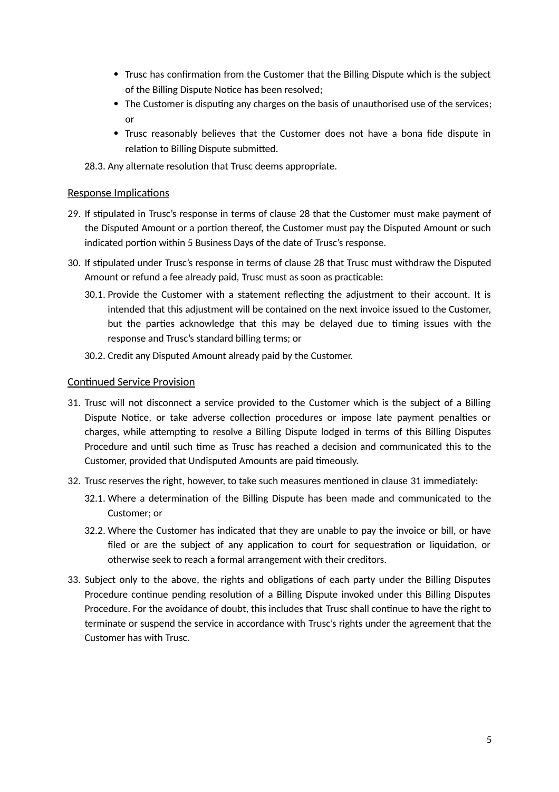- Trusc has confirmation from the Customer that the Billing Dispute which is the subject of the Billing Dispute Notice has been resolved;
- The Customer is disputing any charges on the basis of unauthorised use of the services; or
- Trusc reasonably believes that the Customer does not have a bona fide dispute in relation to Billing Dispute submitted.

28.3. Any alternate resolution that Trusc deems appropriate.

#### <span id="page-4-1"></span>Response Implications

- 29. If stipulated in Trusc's response in terms of clause [28](#page-3-6) that the Customer must make payment of the Disputed Amount or a portion thereof, the Customer must pay the Disputed Amount or such indicated portion within 5 Business Days of the date of Trusc's response.
- 30. If stipulated under Trusc's response in terms of clause [28](#page-3-6) that Trusc must withdraw the Disputed Amount or refund a fee already paid, Trusc must as soon as practicable:
	- 30.1. Provide the Customer with a statement reflecting the adjustment to their account. It is intended that this adjustment will be contained on the next invoice issued to the Customer, but the parties acknowledge that this may be delayed due to timing issues with the response and Trusc's standard billing terms; or
	- 30.2. Credit any Disputed Amount already paid by the Customer.

#### <span id="page-4-0"></span>Continued Service Provision

- <span id="page-4-2"></span>31. Trusc will not disconnect a service provided to the Customer which is the subject of a Billing Dispute Notice, or take adverse collection procedures or impose late payment penalties or charges, while attempting to resolve a Billing Dispute lodged in terms of this Billing Disputes Procedure and until such time as Trusc has reached a decision and communicated this to the Customer, provided that Undisputed Amounts are paid timeously.
- 32. Trusc reserves the right, however, to take such measures mentioned in clause [31](#page-4-2) immediately:
	- 32.1. Where a determination of the Billing Dispute has been made and communicated to the Customer; or
	- 32.2. Where the Customer has indicated that they are unable to pay the invoice or bill, or have filed or are the subject of any application to court for sequestration or liquidation, or otherwise seek to reach a formal arrangement with their creditors.
- 33. Subject only to the above, the rights and obligations of each party under the Billing Disputes Procedure continue pending resolution of a Billing Dispute invoked under this Billing Disputes Procedure. For the avoidance of doubt, this includes that Trusc shall continue to have the right to terminate or suspend the service in accordance with Trusc's rights under the agreement that the Customer has with Trusc.